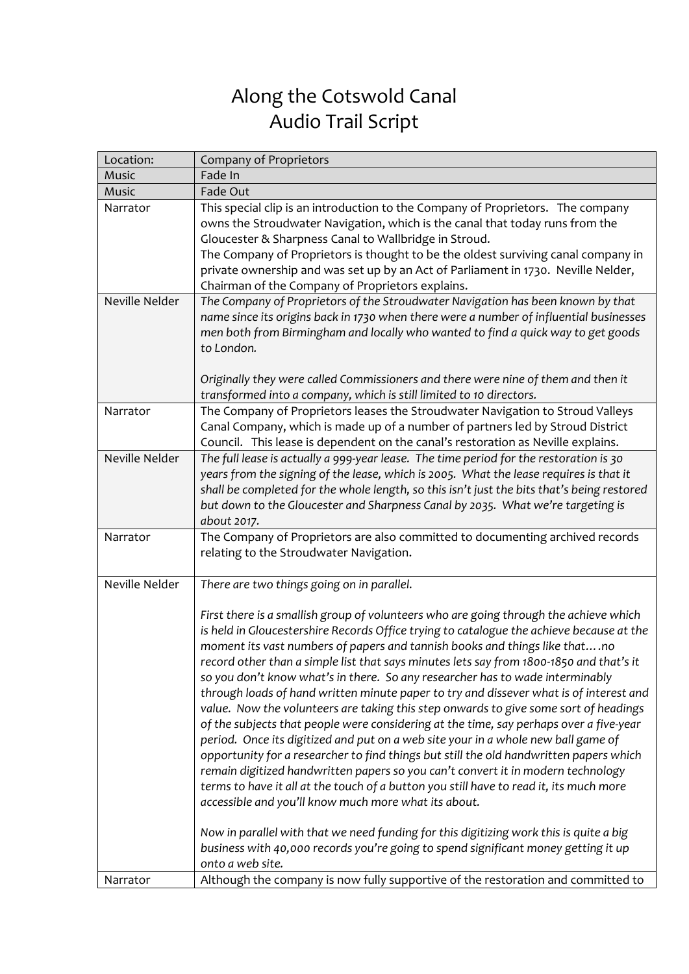## Along the Cotswold Canal Audio Trail Script

| Location:      | Company of Proprietors                                                                                                                                                                                                                                                                                                                                                                                                                                                                                                                                                                                                                                                                                                                                                                                                                                                                                                                                                                                                                                                                                                                                                                                                                                                                                                                                                                         |
|----------------|------------------------------------------------------------------------------------------------------------------------------------------------------------------------------------------------------------------------------------------------------------------------------------------------------------------------------------------------------------------------------------------------------------------------------------------------------------------------------------------------------------------------------------------------------------------------------------------------------------------------------------------------------------------------------------------------------------------------------------------------------------------------------------------------------------------------------------------------------------------------------------------------------------------------------------------------------------------------------------------------------------------------------------------------------------------------------------------------------------------------------------------------------------------------------------------------------------------------------------------------------------------------------------------------------------------------------------------------------------------------------------------------|
| Music          | Fade In                                                                                                                                                                                                                                                                                                                                                                                                                                                                                                                                                                                                                                                                                                                                                                                                                                                                                                                                                                                                                                                                                                                                                                                                                                                                                                                                                                                        |
| Music          | Fade Out                                                                                                                                                                                                                                                                                                                                                                                                                                                                                                                                                                                                                                                                                                                                                                                                                                                                                                                                                                                                                                                                                                                                                                                                                                                                                                                                                                                       |
| Narrator       | This special clip is an introduction to the Company of Proprietors. The company<br>owns the Stroudwater Navigation, which is the canal that today runs from the<br>Gloucester & Sharpness Canal to Wallbridge in Stroud.<br>The Company of Proprietors is thought to be the oldest surviving canal company in<br>private ownership and was set up by an Act of Parliament in 1730. Neville Nelder,<br>Chairman of the Company of Proprietors explains.                                                                                                                                                                                                                                                                                                                                                                                                                                                                                                                                                                                                                                                                                                                                                                                                                                                                                                                                         |
| Neville Nelder | The Company of Proprietors of the Stroudwater Navigation has been known by that<br>name since its origins back in 1730 when there were a number of influential businesses<br>men both from Birmingham and locally who wanted to find a quick way to get goods<br>to London.<br>Originally they were called Commissioners and there were nine of them and then it<br>transformed into a company, which is still limited to 10 directors.                                                                                                                                                                                                                                                                                                                                                                                                                                                                                                                                                                                                                                                                                                                                                                                                                                                                                                                                                        |
| Narrator       | The Company of Proprietors leases the Stroudwater Navigation to Stroud Valleys<br>Canal Company, which is made up of a number of partners led by Stroud District<br>Council. This lease is dependent on the canal's restoration as Neville explains.                                                                                                                                                                                                                                                                                                                                                                                                                                                                                                                                                                                                                                                                                                                                                                                                                                                                                                                                                                                                                                                                                                                                           |
| Neville Nelder | The full lease is actually a 999-year lease. The time period for the restoration is 30<br>years from the signing of the lease, which is 2005. What the lease requires is that it<br>shall be completed for the whole length, so this isn't just the bits that's being restored<br>but down to the Gloucester and Sharpness Canal by 2035. What we're targeting is<br>about 2017.                                                                                                                                                                                                                                                                                                                                                                                                                                                                                                                                                                                                                                                                                                                                                                                                                                                                                                                                                                                                               |
| Narrator       | The Company of Proprietors are also committed to documenting archived records<br>relating to the Stroudwater Navigation.                                                                                                                                                                                                                                                                                                                                                                                                                                                                                                                                                                                                                                                                                                                                                                                                                                                                                                                                                                                                                                                                                                                                                                                                                                                                       |
| Neville Nelder | There are two things going on in parallel.<br>First there is a smallish group of volunteers who are going through the achieve which<br>is held in Gloucestershire Records Office trying to catalogue the achieve because at the<br>moment its vast numbers of papers and tannish books and things like thatno<br>record other than a simple list that says minutes lets say from 1800-1850 and that's it<br>so you don't know what's in there. So any researcher has to wade interminably<br>through loads of hand written minute paper to try and dissever what is of interest and<br>value. Now the volunteers are taking this step onwards to give some sort of headings<br>of the subjects that people were considering at the time, say perhaps over a five-year<br>period. Once its digitized and put on a web site your in a whole new ball game of<br>opportunity for a researcher to find things but still the old handwritten papers which<br>remain digitized handwritten papers so you can't convert it in modern technology<br>terms to have it all at the touch of a button you still have to read it, its much more<br>accessible and you'll know much more what its about.<br>Now in parallel with that we need funding for this digitizing work this is quite a big<br>business with 40,000 records you're going to spend significant money getting it up<br>onto a web site. |
| Narrator       | Although the company is now fully supportive of the restoration and committed to                                                                                                                                                                                                                                                                                                                                                                                                                                                                                                                                                                                                                                                                                                                                                                                                                                                                                                                                                                                                                                                                                                                                                                                                                                                                                                               |